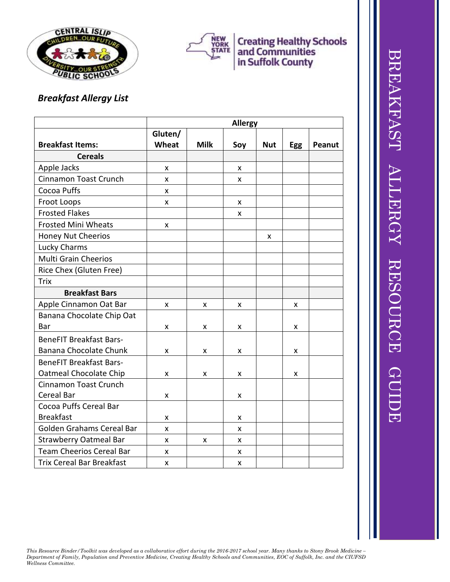



## **Creating Healthy Schools<br>and Communities<br>in Suffolk County**

## *Breakfast Allergy List*

|                                  | <b>Allergy</b> |             |     |            |            |               |  |  |  |
|----------------------------------|----------------|-------------|-----|------------|------------|---------------|--|--|--|
|                                  | Gluten/        |             |     |            |            |               |  |  |  |
| <b>Breakfast Items:</b>          | Wheat          | <b>Milk</b> | Soy | <b>Nut</b> | <b>Egg</b> | <b>Peanut</b> |  |  |  |
| <b>Cereals</b>                   |                |             |     |            |            |               |  |  |  |
| Apple Jacks                      | X              |             | X   |            |            |               |  |  |  |
| Cinnamon Toast Crunch            | X              |             | X   |            |            |               |  |  |  |
| Cocoa Puffs                      | X              |             |     |            |            |               |  |  |  |
| Froot Loops                      | X              |             | X   |            |            |               |  |  |  |
| <b>Frosted Flakes</b>            |                |             | X   |            |            |               |  |  |  |
| <b>Frosted Mini Wheats</b>       | X              |             |     |            |            |               |  |  |  |
| <b>Honey Nut Cheerios</b>        |                |             |     | x          |            |               |  |  |  |
| Lucky Charms                     |                |             |     |            |            |               |  |  |  |
| <b>Multi Grain Cheerios</b>      |                |             |     |            |            |               |  |  |  |
| Rice Chex (Gluten Free)          |                |             |     |            |            |               |  |  |  |
| <b>Trix</b>                      |                |             |     |            |            |               |  |  |  |
| <b>Breakfast Bars</b>            |                |             |     |            |            |               |  |  |  |
| Apple Cinnamon Oat Bar           | X              | x           | X   |            | X          |               |  |  |  |
| Banana Chocolate Chip Oat        |                |             |     |            |            |               |  |  |  |
| Bar                              | X              | x           | X   |            | X          |               |  |  |  |
| <b>BeneFIT Breakfast Bars-</b>   |                |             |     |            |            |               |  |  |  |
| Banana Chocolate Chunk           | X              | x           | X   |            | X          |               |  |  |  |
| <b>BeneFIT Breakfast Bars-</b>   |                |             |     |            |            |               |  |  |  |
| Oatmeal Chocolate Chip           | x              | x           | X   |            | X          |               |  |  |  |
| Cinnamon Toast Crunch            |                |             |     |            |            |               |  |  |  |
| Cereal Bar                       | X              |             | X   |            |            |               |  |  |  |
| Cocoa Puffs Cereal Bar           |                |             |     |            |            |               |  |  |  |
| <b>Breakfast</b>                 | X              |             | X   |            |            |               |  |  |  |
| Golden Grahams Cereal Bar        | X              |             | X   |            |            |               |  |  |  |
| <b>Strawberry Oatmeal Bar</b>    | X              | x           | X   |            |            |               |  |  |  |
| <b>Team Cheerios Cereal Bar</b>  | X              |             | X   |            |            |               |  |  |  |
| <b>Trix Cereal Bar Breakfast</b> | x              |             | X   |            |            |               |  |  |  |

*This Resource Binder/Toolkit was developed as a collaborative effort during the 2016-2017 school year. Many thanks to Stony Brook Medicine – Department of Family, Population and Preventive Medicine, Creating Healthy Schools and Communities, EOC of Suffolk, Inc. and the CIUFSD Wellness Committee.*